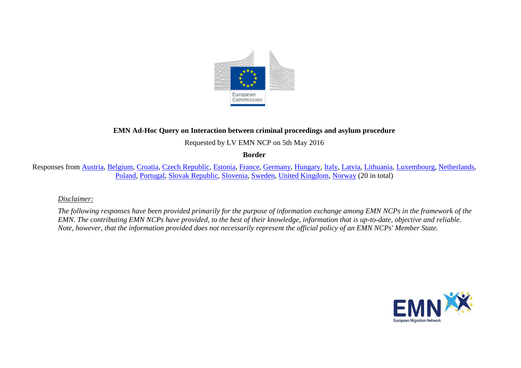

## **EMN Ad-Hoc Query on Interaction between criminal proceedings and asylum procedure**

Requested by LV EMN NCP on 5th May 2016

**Border**

Responses from [Austria,](#page-2-0) [Belgium,](#page-3-0) [Croatia,](#page-6-0) [Czech Republic,](#page-7-0) [Estonia,](#page-4-0) [France,](#page-7-1) [Germany,](#page-9-0) [Hungary,](#page-10-0) [Italy,](#page-11-0) [Latvia,](#page-12-0) [Lithuania,](#page-13-0) [Luxembourg,](#page-14-0) [Netherlands,](#page-16-0) [Poland,](#page-17-0) [Portugal,](#page-19-0) [Slovak Republic,](#page-20-0) [Slovenia,](#page-21-0) [Sweden,](#page-22-0) [United Kingdom,](#page-22-1) [Norway](#page-24-0) (20 in total)

#### *Disclaimer:*

*The following responses have been provided primarily for the purpose of information exchange among EMN NCPs in the framework of the EMN. The contributing EMN NCPs have provided, to the best of their knowledge, information that is up-to-date, objective and reliable. Note, however, that the information provided does not necessarily represent the official policy of an EMN NCPs' Member State.*

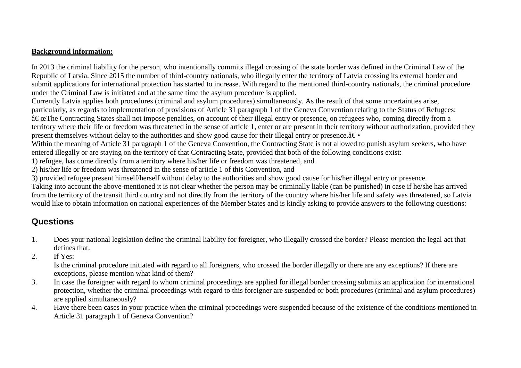### **Background information:**

In 2013 the criminal liability for the person, who intentionally commits illegal crossing of the state border was defined in the Criminal Law of the Republic of Latvia. Since 2015 the number of third-country nationals, who illegally enter the territory of Latvia crossing its external border and submit applications for international protection has started to increase. With regard to the mentioned third-country nationals, the criminal procedure under the Criminal Law is initiated and at the same time the asylum procedure is applied.

Currently Latvia applies both procedures (criminal and asylum procedures) simultaneously. As the result of that some uncertainties arise, particularly, as regards to implementation of provisions of Article 31 paragraph 1 of the Geneva Convention relating to the Status of Refugees:  $\hat{a} \in \mathcal{C}$  ates shall not impose penalties, on account of their illegal entry or presence, on refugees who, coming directly from a territory where their life or freedom was threatened in the sense of article 1, enter or are present in their territory without authorization, provided they present themselves without delay to the authorities and show good cause for their illegal entry or presence. $\hat{a} \in \bullet$ 

Within the meaning of Article 31 paragraph 1 of the Geneva Convention, the Contracting State is not allowed to punish asylum seekers, who have entered illegally or are staying on the territory of that Contracting State, provided that both of the following conditions exist:

1) refugee, has come directly from a territory where his/her life or freedom was threatened, and

2) his/her life or freedom was threatened in the sense of article 1 of this Convention, and

3) provided refugee present himself/herself without delay to the authorities and show good cause for his/her illegal entry or presence.

Taking into account the above-mentioned it is not clear whether the person may be criminally liable (can be punished) in case if he/she has arrived from the territory of the transit third country and not directly from the territory of the country where his/her life and safety was threatened, so Latvia would like to obtain information on national experiences of the Member States and is kindly asking to provide answers to the following questions:

# **Questions**

- 1. Does your national legislation define the criminal liability for foreigner, who illegally crossed the border? Please mention the legal act that defines that.
- 2. If Yes:

Is the criminal procedure initiated with regard to all foreigners, who crossed the border illegally or there are any exceptions? If there are exceptions, please mention what kind of them?

- 3. In case the foreigner with regard to whom criminal proceedings are applied for illegal border crossing submits an application for international protection, whether the criminal proceedings with regard to this foreigner are suspended or both procedures (criminal and asylum procedures) are applied simultaneously?
- 4. Have there been cases in your practice when the criminal proceedings were suspended because of the existence of the conditions mentioned in Article 31 paragraph 1 of Geneva Convention?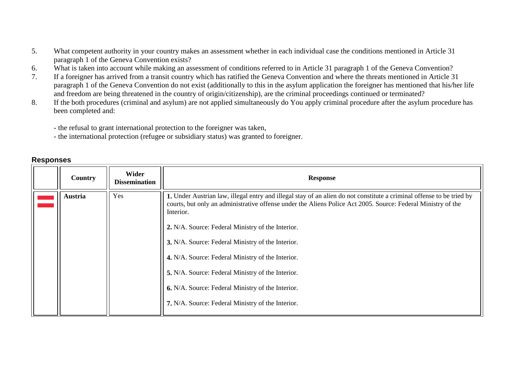- 5. What competent authority in your country makes an assessment whether in each individual case the conditions mentioned in Article 31 paragraph 1 of the Geneva Convention exists?
- 6. What is taken into account while making an assessment of conditions referred to in Article 31 paragraph 1 of the Geneva Convention?
- 7. If a foreigner has arrived from a transit country which has ratified the Geneva Convention and where the threats mentioned in Article 31 paragraph 1 of the Geneva Convention do not exist (additionally to this in the asylum application the foreigner has mentioned that his/her life and freedom are being threatened in the country of origin/citizenship), are the criminal proceedings continued or terminated?
- 8. If the both procedures (criminal and asylum) are not applied simultaneously do You apply criminal procedure after the asylum procedure has been completed and:
	- the refusal to grant international protection to the foreigner was taken,
	- the international protection (refugee or subsidiary status) was granted to foreigner.

<span id="page-2-0"></span>

| Country        | Wider<br><b>Dissemination</b> | <b>Response</b>                                                                                                                                                                                                                                    |
|----------------|-------------------------------|----------------------------------------------------------------------------------------------------------------------------------------------------------------------------------------------------------------------------------------------------|
| <b>Austria</b> | Yes                           | 1. Under Austrian law, illegal entry and illegal stay of an alien do not constitute a criminal offense to be tried by<br>courts, but only an administrative offense under the Aliens Police Act 2005. Source: Federal Ministry of the<br>Interior. |
|                |                               | 2. N/A. Source: Federal Ministry of the Interior.                                                                                                                                                                                                  |
|                |                               | 3. N/A. Source: Federal Ministry of the Interior.                                                                                                                                                                                                  |
|                |                               | 4. N/A. Source: Federal Ministry of the Interior.                                                                                                                                                                                                  |
|                |                               | 5. N/A. Source: Federal Ministry of the Interior.                                                                                                                                                                                                  |
|                |                               | 6. N/A. Source: Federal Ministry of the Interior.                                                                                                                                                                                                  |
|                |                               | 7. N/A. Source: Federal Ministry of the Interior.                                                                                                                                                                                                  |

## **Responses**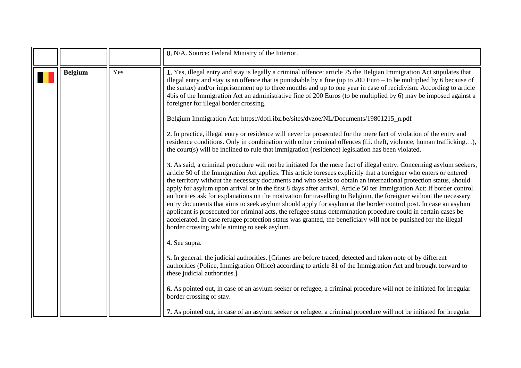<span id="page-3-0"></span>

|                |     | 8. N/A. Source: Federal Ministry of the Interior.                                                                                                                                                                                                                                                                                                                                                                                                                                                                                                                                                                                                                                                                                                                                                                                                                                                                                                                                                                                                                                                                                                                                                                                                                                                                                                                                                                                                                                                                                                                                                                                                                                                                                                                                                                                                                                                                                                                                                                                                                                                                                                                                                                                                                                                                                                                                                                                         |
|----------------|-----|-------------------------------------------------------------------------------------------------------------------------------------------------------------------------------------------------------------------------------------------------------------------------------------------------------------------------------------------------------------------------------------------------------------------------------------------------------------------------------------------------------------------------------------------------------------------------------------------------------------------------------------------------------------------------------------------------------------------------------------------------------------------------------------------------------------------------------------------------------------------------------------------------------------------------------------------------------------------------------------------------------------------------------------------------------------------------------------------------------------------------------------------------------------------------------------------------------------------------------------------------------------------------------------------------------------------------------------------------------------------------------------------------------------------------------------------------------------------------------------------------------------------------------------------------------------------------------------------------------------------------------------------------------------------------------------------------------------------------------------------------------------------------------------------------------------------------------------------------------------------------------------------------------------------------------------------------------------------------------------------------------------------------------------------------------------------------------------------------------------------------------------------------------------------------------------------------------------------------------------------------------------------------------------------------------------------------------------------------------------------------------------------------------------------------------------------|
| <b>Belgium</b> | Yes | 1. Yes, illegal entry and stay is legally a criminal offence: article 75 the Belgian Immigration Act stipulates that<br>illegal entry and stay is an offence that is punishable by a fine (up to $200 Euro - to be multiplied by 6 because of$<br>the surtax) and/or imprisonment up to three months and up to one year in case of recidivism. According to article<br>4bis of the Immigration Act an administrative fine of 200 Euros (to be multiplied by 6) may be imposed against a<br>foreigner for illegal border crossing.<br>Belgium Immigration Act: https://dofi.ibz.be/sites/dvzoe/NL/Documents/19801215_n.pdf<br>2. In practice, illegal entry or residence will never be prosecuted for the mere fact of violation of the entry and<br>residence conditions. Only in combination with other criminal offences (f.i. theft, violence, human trafficking),<br>the court(s) will be inclined to rule that immigration (residence) legislation has been violated.<br>3. As said, a criminal procedure will not be initiated for the mere fact of illegal entry. Concerning asylum seekers,<br>article 50 of the Immigration Act applies. This article foresees explicitly that a foreigner who enters or entered<br>the territory without the necessary documents and who seeks to obtain an international protection status, should<br>apply for asylum upon arrival or in the first 8 days after arrival. Article 50 ter Immigration Act: If border control<br>authorities ask for explanations on the motivation for travelling to Belgium, the foreigner without the necessary<br>entry documents that aims to seek asylum should apply for asylum at the border control post. In case an asylum<br>applicant is prosecuted for criminal acts, the refugee status determination procedure could in certain cases be<br>accelerated. In case refugee protection status was granted, the beneficiary will not be punished for the illegal<br>border crossing while aiming to seek asylum.<br>4. See supra.<br>5. In general: the judicial authorities. [Crimes are before traced, detected and taken note of by different<br>authorities (Police, Immigration Office) according to article 81 of the Immigration Act and brought forward to<br>these judicial authorities.]<br>6. As pointed out, in case of an asylum seeker or refugee, a criminal procedure will not be initiated for irregular<br>border crossing or stay. |
|                |     | 7. As pointed out, in case of an asylum seeker or refugee, a criminal procedure will not be initiated for irregular                                                                                                                                                                                                                                                                                                                                                                                                                                                                                                                                                                                                                                                                                                                                                                                                                                                                                                                                                                                                                                                                                                                                                                                                                                                                                                                                                                                                                                                                                                                                                                                                                                                                                                                                                                                                                                                                                                                                                                                                                                                                                                                                                                                                                                                                                                                       |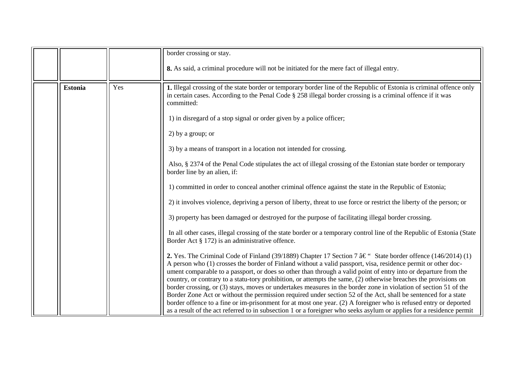<span id="page-4-0"></span>

|                |     | border crossing or stay.                                                                                                                                                                                                                                                                                                                                                                                                                                                                                                                                                                                                                                                                                                                                                                                                                                                                                                                                                    |
|----------------|-----|-----------------------------------------------------------------------------------------------------------------------------------------------------------------------------------------------------------------------------------------------------------------------------------------------------------------------------------------------------------------------------------------------------------------------------------------------------------------------------------------------------------------------------------------------------------------------------------------------------------------------------------------------------------------------------------------------------------------------------------------------------------------------------------------------------------------------------------------------------------------------------------------------------------------------------------------------------------------------------|
|                |     | 8. As said, a criminal procedure will not be initiated for the mere fact of illegal entry.                                                                                                                                                                                                                                                                                                                                                                                                                                                                                                                                                                                                                                                                                                                                                                                                                                                                                  |
| <b>Estonia</b> | Yes | 1. Illegal crossing of the state border or temporary border line of the Republic of Estonia is criminal offence only<br>in certain cases. According to the Penal Code § 258 illegal border crossing is a criminal offence if it was<br>committed:                                                                                                                                                                                                                                                                                                                                                                                                                                                                                                                                                                                                                                                                                                                           |
|                |     | 1) in disregard of a stop signal or order given by a police officer;                                                                                                                                                                                                                                                                                                                                                                                                                                                                                                                                                                                                                                                                                                                                                                                                                                                                                                        |
|                |     | 2) by a group; or                                                                                                                                                                                                                                                                                                                                                                                                                                                                                                                                                                                                                                                                                                                                                                                                                                                                                                                                                           |
|                |     | 3) by a means of transport in a location not intended for crossing.                                                                                                                                                                                                                                                                                                                                                                                                                                                                                                                                                                                                                                                                                                                                                                                                                                                                                                         |
|                |     | Also, § 2374 of the Penal Code stipulates the act of illegal crossing of the Estonian state border or temporary<br>border line by an alien, if:                                                                                                                                                                                                                                                                                                                                                                                                                                                                                                                                                                                                                                                                                                                                                                                                                             |
|                |     | 1) committed in order to conceal another criminal offence against the state in the Republic of Estonia;                                                                                                                                                                                                                                                                                                                                                                                                                                                                                                                                                                                                                                                                                                                                                                                                                                                                     |
|                |     | 2) it involves violence, depriving a person of liberty, threat to use force or restrict the liberty of the person; or                                                                                                                                                                                                                                                                                                                                                                                                                                                                                                                                                                                                                                                                                                                                                                                                                                                       |
|                |     | 3) property has been damaged or destroyed for the purpose of facilitating illegal border crossing.                                                                                                                                                                                                                                                                                                                                                                                                                                                                                                                                                                                                                                                                                                                                                                                                                                                                          |
|                |     | In all other cases, illegal crossing of the state border or a temporary control line of the Republic of Estonia (State<br>Border Act § 172) is an administrative offence.                                                                                                                                                                                                                                                                                                                                                                                                                                                                                                                                                                                                                                                                                                                                                                                                   |
|                |     | 2. Yes. The Criminal Code of Finland (39/1889) Chapter 17 Section 7 $\hat{a} \in \mathcal{C}$ State border offence (146/2014) (1)<br>A person who (1) crosses the border of Finland without a valid passport, visa, residence permit or other doc-<br>ument comparable to a passport, or does so other than through a valid point of entry into or departure from the<br>country, or contrary to a statu-tory prohibition, or attempts the same, (2) otherwise breaches the provisions on<br>border crossing, or (3) stays, moves or undertakes measures in the border zone in violation of section 51 of the<br>Border Zone Act or without the permission required under section 52 of the Act, shall be sentenced for a state<br>border offence to a fine or im-prisonment for at most one year. (2) A foreigner who is refused entry or deported<br>as a result of the act referred to in subsection 1 or a foreigner who seeks asylum or applies for a residence permit |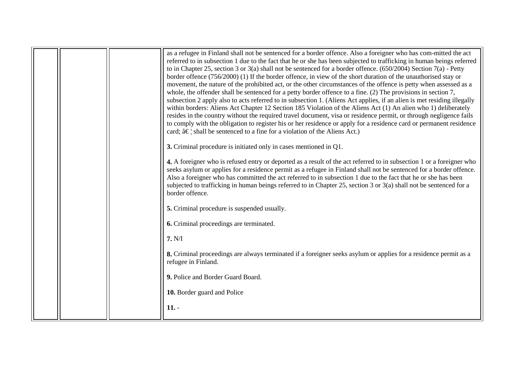|  | as a refugee in Finland shall not be sentenced for a border offence. Also a foreigner who has com-mitted the act<br>referred to in subsection 1 due to the fact that he or she has been subjected to trafficking in human beings referred<br>to in Chapter 25, section 3 or 3(a) shall not be sentenced for a border offence. $(650/2004)$ Section 7(a) - Petty<br>border offence (756/2000) (1) If the border offence, in view of the short duration of the unauthorised stay or<br>movement, the nature of the prohibited act, or the other circumstances of the offence is petty when assessed as a<br>whole, the offender shall be sentenced for a petty border offence to a fine. (2) The provisions in section 7,<br>subsection 2 apply also to acts referred to in subsection 1. (Aliens Act applies, if an alien is met residing illegally<br>within borders: Aliens Act Chapter 12 Section 185 Violation of the Aliens Act (1) An alien who 1) deliberately<br>resides in the country without the required travel document, visa or residence permit, or through negligence fails<br>to comply with the obligation to register his or her residence or apply for a residence card or permanent residence<br>card; †shall be sentenced to a fine for a violation of the Aliens Act.)<br>3. Criminal procedure is initiated only in cases mentioned in Q1. |
|--|-------------------------------------------------------------------------------------------------------------------------------------------------------------------------------------------------------------------------------------------------------------------------------------------------------------------------------------------------------------------------------------------------------------------------------------------------------------------------------------------------------------------------------------------------------------------------------------------------------------------------------------------------------------------------------------------------------------------------------------------------------------------------------------------------------------------------------------------------------------------------------------------------------------------------------------------------------------------------------------------------------------------------------------------------------------------------------------------------------------------------------------------------------------------------------------------------------------------------------------------------------------------------------------------------------------------------------------------------------------------|
|  |                                                                                                                                                                                                                                                                                                                                                                                                                                                                                                                                                                                                                                                                                                                                                                                                                                                                                                                                                                                                                                                                                                                                                                                                                                                                                                                                                                   |
|  | 4. A foreigner who is refused entry or deported as a result of the act referred to in subsection 1 or a foreigner who<br>seeks asylum or applies for a residence permit as a refugee in Finland shall not be sentenced for a border offence.<br>Also a foreigner who has committed the act referred to in subsection 1 due to the fact that he or she has been<br>subjected to trafficking in human beings referred to in Chapter 25, section 3 or 3(a) shall not be sentenced for a<br>border offence.                                                                                                                                                                                                                                                                                                                                                                                                                                                                                                                                                                                                                                                                                                                                                                                                                                                           |
|  | 5. Criminal procedure is suspended usually.                                                                                                                                                                                                                                                                                                                                                                                                                                                                                                                                                                                                                                                                                                                                                                                                                                                                                                                                                                                                                                                                                                                                                                                                                                                                                                                       |
|  |                                                                                                                                                                                                                                                                                                                                                                                                                                                                                                                                                                                                                                                                                                                                                                                                                                                                                                                                                                                                                                                                                                                                                                                                                                                                                                                                                                   |
|  | 6. Criminal proceedings are terminated.                                                                                                                                                                                                                                                                                                                                                                                                                                                                                                                                                                                                                                                                                                                                                                                                                                                                                                                                                                                                                                                                                                                                                                                                                                                                                                                           |
|  | 7. N/I                                                                                                                                                                                                                                                                                                                                                                                                                                                                                                                                                                                                                                                                                                                                                                                                                                                                                                                                                                                                                                                                                                                                                                                                                                                                                                                                                            |
|  | 8. Criminal proceedings are always terminated if a foreigner seeks asylum or applies for a residence permit as a<br>refugee in Finland.                                                                                                                                                                                                                                                                                                                                                                                                                                                                                                                                                                                                                                                                                                                                                                                                                                                                                                                                                                                                                                                                                                                                                                                                                           |
|  | 9. Police and Border Guard Board.                                                                                                                                                                                                                                                                                                                                                                                                                                                                                                                                                                                                                                                                                                                                                                                                                                                                                                                                                                                                                                                                                                                                                                                                                                                                                                                                 |
|  | 10. Border guard and Police                                                                                                                                                                                                                                                                                                                                                                                                                                                                                                                                                                                                                                                                                                                                                                                                                                                                                                                                                                                                                                                                                                                                                                                                                                                                                                                                       |
|  | $11. -$                                                                                                                                                                                                                                                                                                                                                                                                                                                                                                                                                                                                                                                                                                                                                                                                                                                                                                                                                                                                                                                                                                                                                                                                                                                                                                                                                           |
|  |                                                                                                                                                                                                                                                                                                                                                                                                                                                                                                                                                                                                                                                                                                                                                                                                                                                                                                                                                                                                                                                                                                                                                                                                                                                                                                                                                                   |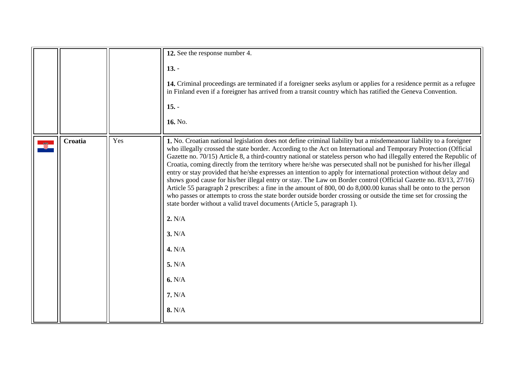<span id="page-6-0"></span>

|         |     | 12. See the response number 4.                                                                                                                                                                                                                                                                                                                                                                                                                                                                                                                                                                                                                                                                                                                                                                                                                                                                                                                                                                                                                                                                                           |
|---------|-----|--------------------------------------------------------------------------------------------------------------------------------------------------------------------------------------------------------------------------------------------------------------------------------------------------------------------------------------------------------------------------------------------------------------------------------------------------------------------------------------------------------------------------------------------------------------------------------------------------------------------------------------------------------------------------------------------------------------------------------------------------------------------------------------------------------------------------------------------------------------------------------------------------------------------------------------------------------------------------------------------------------------------------------------------------------------------------------------------------------------------------|
|         |     | $13. -$<br>14. Criminal proceedings are terminated if a foreigner seeks asylum or applies for a residence permit as a refugee<br>in Finland even if a foreigner has arrived from a transit country which has ratified the Geneva Convention.<br>$15. -$<br>16. No.                                                                                                                                                                                                                                                                                                                                                                                                                                                                                                                                                                                                                                                                                                                                                                                                                                                       |
| Croatia | Yes | 1. No. Croatian national legislation does not define criminal liability but a misdemeanour liability to a foreigner<br>who illegally crossed the state border. According to the Act on International and Temporary Protection (Official<br>Gazette no. 70/15) Article 8, a third-country national or stateless person who had illegally entered the Republic of<br>Croatia, coming directly from the territory where he/she was persecuted shall not be punished for his/her illegal<br>entry or stay provided that he/she expresses an intention to apply for international protection without delay and<br>shows good cause for his/her illegal entry or stay. The Law on Border control (Official Gazette no. 83/13, 27/16)<br>Article 55 paragraph 2 prescribes: a fine in the amount of 800, 00 do 8,000.00 kunas shall be onto to the person<br>who passes or attempts to cross the state border outside border crossing or outside the time set for crossing the<br>state border without a valid travel documents (Article 5, paragraph 1).<br>2. N/A<br>3. N/A<br>4. N/A<br>5. N/A<br>6. N/A<br>7. N/A<br>8. N/A |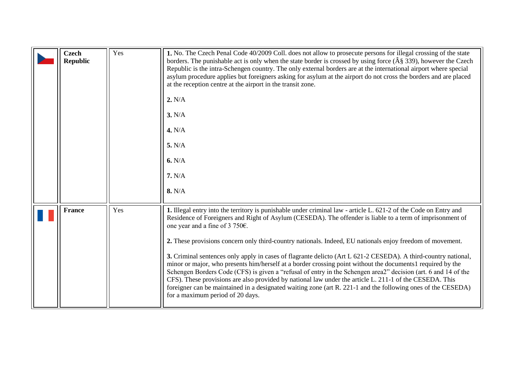<span id="page-7-1"></span><span id="page-7-0"></span>

| <b>Czech</b><br><b>Republic</b> | Yes | 1. No. The Czech Penal Code 40/2009 Coll. does not allow to prosecute persons for illegal crossing of the state<br>borders. The punishable act is only when the state border is crossed by using force $(\hat{A}\S 339)$ , however the Czech<br>Republic is the intra-Schengen country. The only external borders are at the international airport where special<br>asylum procedure applies but foreigners asking for asylum at the airport do not cross the borders and are placed<br>at the reception centre at the airport in the transit zone.<br>2. N/A<br>3. N/A<br>4. N/A<br>5. N/A<br>6. N/A<br>7. N/A<br>8. N/A                                                                                                                                                                                                                                                                                                                                                                                |
|---------------------------------|-----|----------------------------------------------------------------------------------------------------------------------------------------------------------------------------------------------------------------------------------------------------------------------------------------------------------------------------------------------------------------------------------------------------------------------------------------------------------------------------------------------------------------------------------------------------------------------------------------------------------------------------------------------------------------------------------------------------------------------------------------------------------------------------------------------------------------------------------------------------------------------------------------------------------------------------------------------------------------------------------------------------------|
| <b>France</b>                   | Yes | 1. Illegal entry into the territory is punishable under criminal law - article L. 621-2 of the Code on Entry and<br>Residence of Foreigners and Right of Asylum (CESEDA). The offender is liable to a term of imprisonment of<br>one year and a fine of 3 750 $\epsilon$ .<br>2. These provisions concern only third-country nationals. Indeed, EU nationals enjoy freedom of movement.<br>3. Criminal sentences only apply in cases of flagrante delicto (Art L 621-2 CESEDA). A third-country national,<br>minor or major, who presents him/herself at a border crossing point without the documents1 required by the<br>Schengen Borders Code (CFS) is given a "refusal of entry in the Schengen area2" decision (art. 6 and 14 of the<br>CFS). These provisions are also provided by national law under the article L. 211-1 of the CESEDA. This<br>foreigner can be maintained in a designated waiting zone (art R. 221-1 and the following ones of the CESEDA)<br>for a maximum period of 20 days. |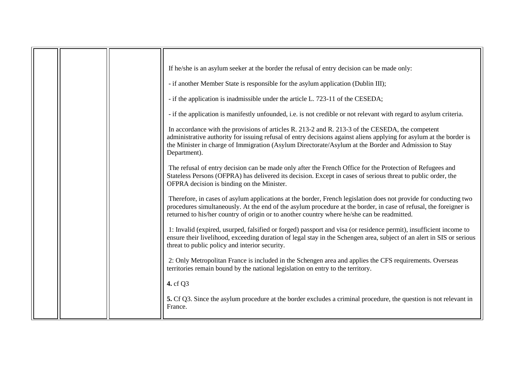|  | If he/she is an asylum seeker at the border the refusal of entry decision can be made only:                                                                                                                                                                                                                                                     |
|--|-------------------------------------------------------------------------------------------------------------------------------------------------------------------------------------------------------------------------------------------------------------------------------------------------------------------------------------------------|
|  | - if another Member State is responsible for the asylum application (Dublin III);                                                                                                                                                                                                                                                               |
|  | - if the application is inadmissible under the article L. 723-11 of the CESEDA;                                                                                                                                                                                                                                                                 |
|  | - if the application is manifestly unfounded, i.e. is not credible or not relevant with regard to asylum criteria.                                                                                                                                                                                                                              |
|  | In accordance with the provisions of articles R. 213-2 and R. 213-3 of the CESEDA, the competent<br>administrative authority for issuing refusal of entry decisions against aliens applying for asylum at the border is<br>the Minister in charge of Immigration (Asylum Directorate/Asylum at the Border and Admission to Stay<br>Department). |
|  | The refusal of entry decision can be made only after the French Office for the Protection of Refugees and<br>Stateless Persons (OFPRA) has delivered its decision. Except in cases of serious threat to public order, the<br>OFPRA decision is binding on the Minister.                                                                         |
|  | Therefore, in cases of asylum applications at the border, French legislation does not provide for conducting two<br>procedures simultaneously. At the end of the asylum procedure at the border, in case of refusal, the foreigner is<br>returned to his/her country of origin or to another country where he/she can be readmitted.            |
|  | 1: Invalid (expired, usurped, falsified or forged) passport and visa (or residence permit), insufficient income to<br>ensure their livelihood, exceeding duration of legal stay in the Schengen area, subject of an alert in SIS or serious<br>threat to public policy and interior security.                                                   |
|  | 2: Only Metropolitan France is included in the Schengen area and applies the CFS requirements. Overseas<br>territories remain bound by the national legislation on entry to the territory.                                                                                                                                                      |
|  | 4. cf Q3                                                                                                                                                                                                                                                                                                                                        |
|  | 5. Cf Q3. Since the asylum procedure at the border excludes a criminal procedure, the question is not relevant in<br>France.                                                                                                                                                                                                                    |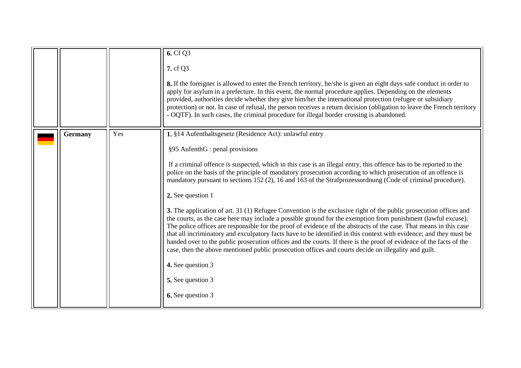<span id="page-9-0"></span>

|                |     | 6. Cf Q3                                                                                                                                                                                                                                                                                                                                                                                                                                                                                                                                                                                                                                                                                                      |
|----------------|-----|---------------------------------------------------------------------------------------------------------------------------------------------------------------------------------------------------------------------------------------------------------------------------------------------------------------------------------------------------------------------------------------------------------------------------------------------------------------------------------------------------------------------------------------------------------------------------------------------------------------------------------------------------------------------------------------------------------------|
|                |     | 7. cf Q3                                                                                                                                                                                                                                                                                                                                                                                                                                                                                                                                                                                                                                                                                                      |
|                |     | 8. If the foreigner is allowed to enter the French territory, he/she is given an eight days safe conduct in order to<br>apply for asylum in a prefecture. In this event, the normal procedure applies. Depending on the elements<br>provided, authorities decide whether they give him/her the international protection (refugee or subsidiary<br>protection) or not. In case of refusal, the person receives a return decision (obligation to leave the French territory<br>- OQTF). In such cases, the criminal procedure for illegal border crossing is abandoned.                                                                                                                                         |
| <b>Germany</b> | Yes | 1. §14 Aufenthaltsgesetz (Residence Act): unlawful entry                                                                                                                                                                                                                                                                                                                                                                                                                                                                                                                                                                                                                                                      |
|                |     | §95 AufenthG : penal provisions                                                                                                                                                                                                                                                                                                                                                                                                                                                                                                                                                                                                                                                                               |
|                |     | If a criminal offence is suspected, which in this case is an illegal entry, this offence has to be reported to the<br>police on the basis of the principle of mandatory prosecution according to which prosecution of an offence is<br>mandatory pursuant to sections 152 (2), 16 and 163 of the Strafprozessordnung (Code of criminal procedure).                                                                                                                                                                                                                                                                                                                                                            |
|                |     | 2. See question 1                                                                                                                                                                                                                                                                                                                                                                                                                                                                                                                                                                                                                                                                                             |
|                |     | 3. The application of art. 31 (1) Refugee Convention is the exclusive right of the public prosecution offices and<br>the courts, as the case here may include a possible ground for the exemption from punishment (lawful excuse).<br>The police offices are responsible for the proof of evidence of the abstracts of the case. That means in this case<br>that all incriminatory and exculpatory facts have to be identified in this context with evidence; and they must be<br>handed over to the public prosecution offices and the courts. If there is the proof of evidence of the facts of the<br>case, then the above mentioned public prosecution offices and courts decide on illegality and guilt. |
|                |     | 4. See question 3                                                                                                                                                                                                                                                                                                                                                                                                                                                                                                                                                                                                                                                                                             |
|                |     | 5. See question 3                                                                                                                                                                                                                                                                                                                                                                                                                                                                                                                                                                                                                                                                                             |
|                |     | 6. See question 3                                                                                                                                                                                                                                                                                                                                                                                                                                                                                                                                                                                                                                                                                             |
|                |     |                                                                                                                                                                                                                                                                                                                                                                                                                                                                                                                                                                                                                                                                                                               |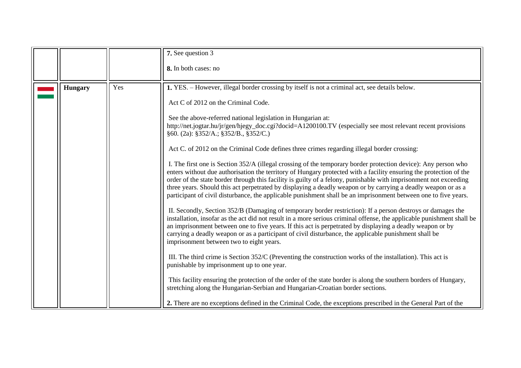<span id="page-10-0"></span>

|                |     | 7. See question 3                                                                                                                                                                                                                                                                                                                                                                                                                                                                                                                                                                             |
|----------------|-----|-----------------------------------------------------------------------------------------------------------------------------------------------------------------------------------------------------------------------------------------------------------------------------------------------------------------------------------------------------------------------------------------------------------------------------------------------------------------------------------------------------------------------------------------------------------------------------------------------|
|                |     | 8. In both cases: no                                                                                                                                                                                                                                                                                                                                                                                                                                                                                                                                                                          |
| <b>Hungary</b> | Yes | 1. YES. - However, illegal border crossing by itself is not a criminal act, see details below.                                                                                                                                                                                                                                                                                                                                                                                                                                                                                                |
|                |     | Act C of 2012 on the Criminal Code.                                                                                                                                                                                                                                                                                                                                                                                                                                                                                                                                                           |
|                |     | See the above-referred national legislation in Hungarian at:<br>http://net.jogtar.hu/jr/gen/hjegy_doc.cgi?docid=A1200100.TV (especially see most relevant recent provisions<br>§60. (2a): §352/A.; §352/B., §352/C.)                                                                                                                                                                                                                                                                                                                                                                          |
|                |     | Act C. of 2012 on the Criminal Code defines three crimes regarding illegal border crossing:                                                                                                                                                                                                                                                                                                                                                                                                                                                                                                   |
|                |     | I. The first one is Section 352/A (illegal crossing of the temporary border protection device): Any person who<br>enters without due authorisation the territory of Hungary protected with a facility ensuring the protection of the<br>order of the state border through this facility is guilty of a felony, punishable with imprisonment not exceeding<br>three years. Should this act perpetrated by displaying a deadly weapon or by carrying a deadly weapon or as a<br>participant of civil disturbance, the applicable punishment shall be an imprisonment between one to five years. |
|                |     | II. Secondly, Section 352/B (Damaging of temporary border restriction): If a person destroys or damages the<br>installation, insofar as the act did not result in a more serious criminal offense, the applicable punishment shall be<br>an imprisonment between one to five years. If this act is perpetrated by displaying a deadly weapon or by<br>carrying a deadly weapon or as a participant of civil disturbance, the applicable punishment shall be<br>imprisonment between two to eight years.                                                                                       |
|                |     | III. The third crime is Section 352/C (Preventing the construction works of the installation). This act is<br>punishable by imprisonment up to one year.                                                                                                                                                                                                                                                                                                                                                                                                                                      |
|                |     | This facility ensuring the protection of the order of the state border is along the southern borders of Hungary,<br>stretching along the Hungarian-Serbian and Hungarian-Croatian border sections.                                                                                                                                                                                                                                                                                                                                                                                            |
|                |     | 2. There are no exceptions defined in the Criminal Code, the exceptions prescribed in the General Part of the                                                                                                                                                                                                                                                                                                                                                                                                                                                                                 |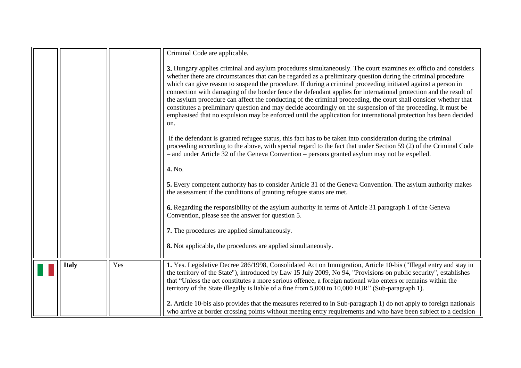<span id="page-11-0"></span>

|              |     | Criminal Code are applicable.                                                                                                                                                                                                                                                                                                                                                                                                                                                                                                                                                                                                                                                                                                                                                                                                       |
|--------------|-----|-------------------------------------------------------------------------------------------------------------------------------------------------------------------------------------------------------------------------------------------------------------------------------------------------------------------------------------------------------------------------------------------------------------------------------------------------------------------------------------------------------------------------------------------------------------------------------------------------------------------------------------------------------------------------------------------------------------------------------------------------------------------------------------------------------------------------------------|
|              |     | 3. Hungary applies criminal and asylum procedures simultaneously. The court examines ex officio and considers<br>whether there are circumstances that can be regarded as a preliminary question during the criminal procedure<br>which can give reason to suspend the procedure. If during a criminal proceeding initiated against a person in<br>connection with damaging of the border fence the defendant applies for international protection and the result of<br>the asylum procedure can affect the conducting of the criminal proceeding, the court shall consider whether that<br>constitutes a preliminary question and may decide accordingly on the suspension of the proceeding. It must be<br>emphasised that no expulsion may be enforced until the application for international protection has been decided<br>on. |
|              |     | If the defendant is granted refugee status, this fact has to be taken into consideration during the criminal<br>proceeding according to the above, with special regard to the fact that under Section 59 (2) of the Criminal Code<br>- and under Article 32 of the Geneva Convention - persons granted asylum may not be expelled.                                                                                                                                                                                                                                                                                                                                                                                                                                                                                                  |
|              |     | 4. No.                                                                                                                                                                                                                                                                                                                                                                                                                                                                                                                                                                                                                                                                                                                                                                                                                              |
|              |     | 5. Every competent authority has to consider Article 31 of the Geneva Convention. The asylum authority makes<br>the assessment if the conditions of granting refugee status are met.                                                                                                                                                                                                                                                                                                                                                                                                                                                                                                                                                                                                                                                |
|              |     | <b>6.</b> Regarding the responsibility of the asylum authority in terms of Article 31 paragraph 1 of the Geneva<br>Convention, please see the answer for question 5.                                                                                                                                                                                                                                                                                                                                                                                                                                                                                                                                                                                                                                                                |
|              |     | 7. The procedures are applied simultaneously.                                                                                                                                                                                                                                                                                                                                                                                                                                                                                                                                                                                                                                                                                                                                                                                       |
|              |     | 8. Not applicable, the procedures are applied simultaneously.                                                                                                                                                                                                                                                                                                                                                                                                                                                                                                                                                                                                                                                                                                                                                                       |
| <b>Italy</b> | Yes | 1. Yes. Legislative Decree 286/1998, Consolidated Act on Immigration, Article 10-bis ("Illegal entry and stay in<br>the territory of the State"), introduced by Law 15 July 2009, No 94, "Provisions on public security", establishes<br>that "Unless the act constitutes a more serious offence, a foreign national who enters or remains within the<br>territory of the State illegally is liable of a fine from 5,000 to 10,000 EUR" (Sub-paragraph 1).                                                                                                                                                                                                                                                                                                                                                                          |
|              |     | 2. Article 10-bis also provides that the measures referred to in Sub-paragraph 1) do not apply to foreign nationals<br>who arrive at border crossing points without meeting entry requirements and who have been subject to a decision                                                                                                                                                                                                                                                                                                                                                                                                                                                                                                                                                                                              |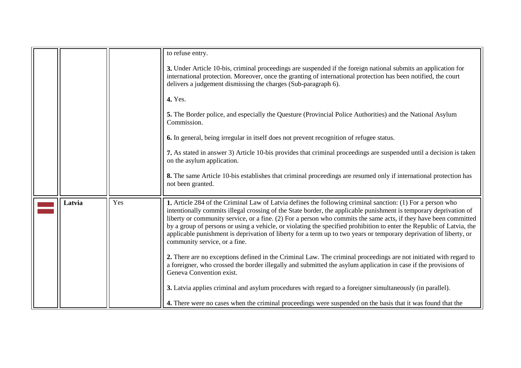<span id="page-12-0"></span>

|        |     | to refuse entry.                                                                                                                                                                                                                                                                                                                                                                                                                                                                                                                                                                                                                    |
|--------|-----|-------------------------------------------------------------------------------------------------------------------------------------------------------------------------------------------------------------------------------------------------------------------------------------------------------------------------------------------------------------------------------------------------------------------------------------------------------------------------------------------------------------------------------------------------------------------------------------------------------------------------------------|
|        |     | 3. Under Article 10-bis, criminal proceedings are suspended if the foreign national submits an application for<br>international protection. Moreover, once the granting of international protection has been notified, the court<br>delivers a judgement dismissing the charges (Sub-paragraph 6).                                                                                                                                                                                                                                                                                                                                  |
|        |     | <b>4.</b> Yes.                                                                                                                                                                                                                                                                                                                                                                                                                                                                                                                                                                                                                      |
|        |     | 5. The Border police, and especially the Questure (Provincial Police Authorities) and the National Asylum<br>Commission.                                                                                                                                                                                                                                                                                                                                                                                                                                                                                                            |
|        |     | <b>6.</b> In general, being irregular in itself does not prevent recognition of refugee status.                                                                                                                                                                                                                                                                                                                                                                                                                                                                                                                                     |
|        |     | 7. As stated in answer 3) Article 10-bis provides that criminal proceedings are suspended until a decision is taken<br>on the asylum application.                                                                                                                                                                                                                                                                                                                                                                                                                                                                                   |
|        |     | 8. The same Article 10-bis establishes that criminal proceedings are resumed only if international protection has<br>not been granted.                                                                                                                                                                                                                                                                                                                                                                                                                                                                                              |
| Latvia | Yes | 1. Article 284 of the Criminal Law of Latvia defines the following criminal sanction: (1) For a person who<br>intentionally commits illegal crossing of the State border, the applicable punishment is temporary deprivation of<br>liberty or community service, or a fine. (2) For a person who commits the same acts, if they have been committed<br>by a group of persons or using a vehicle, or violating the specified prohibition to enter the Republic of Latvia, the<br>applicable punishment is deprivation of liberty for a term up to two years or temporary deprivation of liberty, or<br>community service, or a fine. |
|        |     | 2. There are no exceptions defined in the Criminal Law. The criminal proceedings are not initiated with regard to<br>a foreigner, who crossed the border illegally and submitted the asylum application in case if the provisions of<br>Geneva Convention exist.                                                                                                                                                                                                                                                                                                                                                                    |
|        |     | 3. Latvia applies criminal and asylum procedures with regard to a foreigner simultaneously (in parallel).                                                                                                                                                                                                                                                                                                                                                                                                                                                                                                                           |
|        |     | 4. There were no cases when the criminal proceedings were suspended on the basis that it was found that the                                                                                                                                                                                                                                                                                                                                                                                                                                                                                                                         |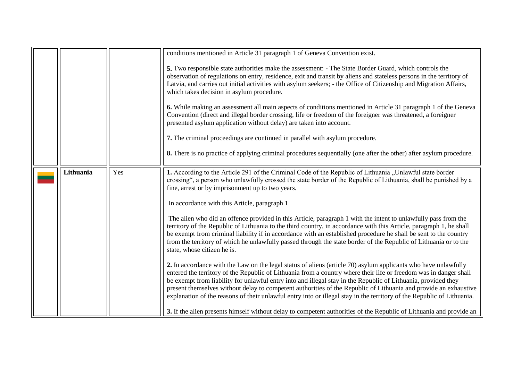<span id="page-13-0"></span>

|           |     | conditions mentioned in Article 31 paragraph 1 of Geneva Convention exist.                                                                                                                                                                                                                                                                                                                                                                                                                                                                                                                         |
|-----------|-----|----------------------------------------------------------------------------------------------------------------------------------------------------------------------------------------------------------------------------------------------------------------------------------------------------------------------------------------------------------------------------------------------------------------------------------------------------------------------------------------------------------------------------------------------------------------------------------------------------|
|           |     | 5. Two responsible state authorities make the assessment: - The State Border Guard, which controls the<br>observation of regulations on entry, residence, exit and transit by aliens and stateless persons in the territory of<br>Latvia, and carries out initial activities with asylum seekers; - the Office of Citizenship and Migration Affairs,<br>which takes decision in asylum procedure.                                                                                                                                                                                                  |
|           |     | 6. While making an assessment all main aspects of conditions mentioned in Article 31 paragraph 1 of the Geneva<br>Convention (direct and illegal border crossing, life or freedom of the foreigner was threatened, a foreigner<br>presented asylum application without delay) are taken into account.                                                                                                                                                                                                                                                                                              |
|           |     | 7. The criminal proceedings are continued in parallel with asylum procedure.                                                                                                                                                                                                                                                                                                                                                                                                                                                                                                                       |
|           |     | 8. There is no practice of applying criminal procedures sequentially (one after the other) after asylum procedure.                                                                                                                                                                                                                                                                                                                                                                                                                                                                                 |
| Lithuania | Yes | 1. According to the Article 291 of the Criminal Code of the Republic of Lithuania "Unlawful state border<br>crossing", a person who unlawfully crossed the state border of the Republic of Lithuania, shall be punished by a<br>fine, arrest or by imprisonment up to two years.                                                                                                                                                                                                                                                                                                                   |
|           |     | In accordance with this Article, paragraph 1                                                                                                                                                                                                                                                                                                                                                                                                                                                                                                                                                       |
|           |     | The alien who did an offence provided in this Article, paragraph 1 with the intent to unlawfully pass from the<br>territory of the Republic of Lithuania to the third country, in accordance with this Article, paragraph 1, he shall<br>be exempt from criminal liability if in accordance with an established procedure he shall be sent to the country<br>from the territory of which he unlawfully passed through the state border of the Republic of Lithuania or to the<br>state, whose citizen he is.                                                                                       |
|           |     | 2. In accordance with the Law on the legal status of aliens (article 70) asylum applicants who have unlawfully<br>entered the territory of the Republic of Lithuania from a country where their life or freedom was in danger shall<br>be exempt from liability for unlawful entry into and illegal stay in the Republic of Lithuania, provided they<br>present themselves without delay to competent authorities of the Republic of Lithuania and provide an exhaustive<br>explanation of the reasons of their unlawful entry into or illegal stay in the territory of the Republic of Lithuania. |
|           |     | 3. If the alien presents himself without delay to competent authorities of the Republic of Lithuania and provide an                                                                                                                                                                                                                                                                                                                                                                                                                                                                                |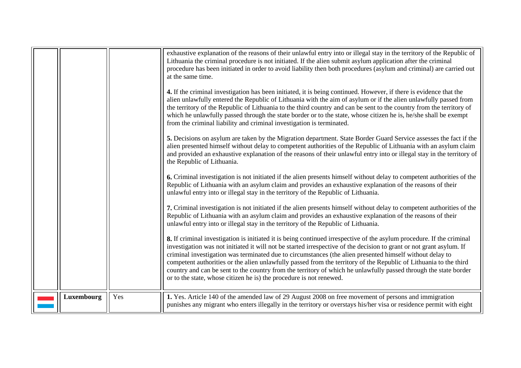<span id="page-14-0"></span>

|            |     | exhaustive explanation of the reasons of their unlawful entry into or illegal stay in the territory of the Republic of<br>Lithuania the criminal procedure is not initiated. If the alien submit asylum application after the criminal<br>procedure has been initiated in order to avoid liability then both procedures (asylum and criminal) are carried out<br>at the same time.<br>4. If the criminal investigation has been initiated, it is being continued. However, if there is evidence that the<br>alien unlawfully entered the Republic of Lithuania with the aim of asylum or if the alien unlawfully passed from<br>the territory of the Republic of Lithuania to the third country and can be sent to the country from the territory of<br>which he unlawfully passed through the state border or to the state, whose citizen he is, he/she shall be exempt<br>from the criminal liability and criminal investigation is terminated.<br>5. Decisions on asylum are taken by the Migration department. State Border Guard Service assesses the fact if the<br>alien presented himself without delay to competent authorities of the Republic of Lithuania with an asylum claim<br>and provided an exhaustive explanation of the reasons of their unlawful entry into or illegal stay in the territory of<br>the Republic of Lithuania.<br>6. Criminal investigation is not initiated if the alien presents himself without delay to competent authorities of the<br>Republic of Lithuania with an asylum claim and provides an exhaustive explanation of the reasons of their<br>unlawful entry into or illegal stay in the territory of the Republic of Lithuania.<br>7. Criminal investigation is not initiated if the alien presents himself without delay to competent authorities of the<br>Republic of Lithuania with an asylum claim and provides an exhaustive explanation of the reasons of their<br>unlawful entry into or illegal stay in the territory of the Republic of Lithuania.<br>8. If criminal investigation is initiated it is being continued irrespective of the asylum procedure. If the criminal<br>investigation was not initiated it will not be started irrespective of the decision to grant or not grant asylum. If<br>criminal investigation was terminated due to circumstances (the alien presented himself without delay to<br>competent authorities or the alien unlawfully passed from the territory of the Republic of Lithuania to the third<br>country and can be sent to the country from the territory of which he unlawfully passed through the state border<br>or to the state, whose citizen he is) the procedure is not renewed. |
|------------|-----|-------------------------------------------------------------------------------------------------------------------------------------------------------------------------------------------------------------------------------------------------------------------------------------------------------------------------------------------------------------------------------------------------------------------------------------------------------------------------------------------------------------------------------------------------------------------------------------------------------------------------------------------------------------------------------------------------------------------------------------------------------------------------------------------------------------------------------------------------------------------------------------------------------------------------------------------------------------------------------------------------------------------------------------------------------------------------------------------------------------------------------------------------------------------------------------------------------------------------------------------------------------------------------------------------------------------------------------------------------------------------------------------------------------------------------------------------------------------------------------------------------------------------------------------------------------------------------------------------------------------------------------------------------------------------------------------------------------------------------------------------------------------------------------------------------------------------------------------------------------------------------------------------------------------------------------------------------------------------------------------------------------------------------------------------------------------------------------------------------------------------------------------------------------------------------------------------------------------------------------------------------------------------------------------------------------------------------------------------------------------------------------------------------------------------------------------------------------------------------------------------------------------------------------------------------------------------------------------------------------------------------------------------------------------------------------------|
| Luxembourg | Yes | 1. Yes. Article 140 of the amended law of 29 August 2008 on free movement of persons and immigration<br>punishes any migrant who enters illegally in the territory or overstays his/her visa or residence permit with eight                                                                                                                                                                                                                                                                                                                                                                                                                                                                                                                                                                                                                                                                                                                                                                                                                                                                                                                                                                                                                                                                                                                                                                                                                                                                                                                                                                                                                                                                                                                                                                                                                                                                                                                                                                                                                                                                                                                                                                                                                                                                                                                                                                                                                                                                                                                                                                                                                                                               |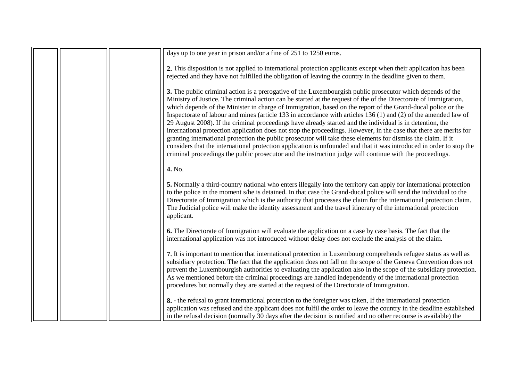|  | days up to one year in prison and/or a fine of 251 to 1250 euros.                                                                                                                                                                                                                                                                                                                                                                                                                                                                                                                                                                                                                                                                                                                                                                                                                                                                                                                                                                                             |
|--|---------------------------------------------------------------------------------------------------------------------------------------------------------------------------------------------------------------------------------------------------------------------------------------------------------------------------------------------------------------------------------------------------------------------------------------------------------------------------------------------------------------------------------------------------------------------------------------------------------------------------------------------------------------------------------------------------------------------------------------------------------------------------------------------------------------------------------------------------------------------------------------------------------------------------------------------------------------------------------------------------------------------------------------------------------------|
|  | 2. This disposition is not applied to international protection applicants except when their application has been<br>rejected and they have not fulfilled the obligation of leaving the country in the deadline given to them.                                                                                                                                                                                                                                                                                                                                                                                                                                                                                                                                                                                                                                                                                                                                                                                                                                 |
|  | 3. The public criminal action is a prerogative of the Luxembourgish public prosecutor which depends of the<br>Ministry of Justice. The criminal action can be started at the request of the of the Directorate of Immigration,<br>which depends of the Minister in charge of Immigration, based on the report of the Grand-ducal police or the<br>Inspectorate of labour and mines (article 133 in accordance with articles 136 $(1)$ and $(2)$ of the amended law of<br>29 August 2008). If the criminal proceedings have already started and the individual is in detention, the<br>international protection application does not stop the proceedings. However, in the case that there are merits for<br>granting international protection the public prosecutor will take these elements for dismiss the claim. If it<br>considers that the international protection application is unfounded and that it was introduced in order to stop the<br>criminal proceedings the public prosecutor and the instruction judge will continue with the proceedings. |
|  | 4. No.                                                                                                                                                                                                                                                                                                                                                                                                                                                                                                                                                                                                                                                                                                                                                                                                                                                                                                                                                                                                                                                        |
|  | 5. Normally a third-country national who enters illegally into the territory can apply for international protection<br>to the police in the moment s/he is detained. In that case the Grand-ducal police will send the individual to the<br>Directorate of Immigration which is the authority that processes the claim for the international protection claim.<br>The Judicial police will make the identity assessment and the travel itinerary of the international protection<br>applicant.                                                                                                                                                                                                                                                                                                                                                                                                                                                                                                                                                                |
|  | <b>6.</b> The Directorate of Immigration will evaluate the application on a case by case basis. The fact that the<br>international application was not introduced without delay does not exclude the analysis of the claim.                                                                                                                                                                                                                                                                                                                                                                                                                                                                                                                                                                                                                                                                                                                                                                                                                                   |
|  | 7. It is important to mention that international protection in Luxembourg comprehends refugee status as well as<br>subsidiary protection. The fact that the application does not fall on the scope of the Geneva Convention does not<br>prevent the Luxembourgish authorities to evaluating the application also in the scope of the subsidiary protection.<br>As we mentioned before the criminal proceedings are handled independently of the international protection<br>procedures but normally they are started at the request of the Directorate of Immigration.                                                                                                                                                                                                                                                                                                                                                                                                                                                                                        |
|  | 8. - the refusal to grant international protection to the foreigner was taken, If the international protection<br>application was refused and the applicant does not fulfil the order to leave the country in the deadline established<br>in the refusal decision (normally 30 days after the decision is notified and no other recourse is available) the                                                                                                                                                                                                                                                                                                                                                                                                                                                                                                                                                                                                                                                                                                    |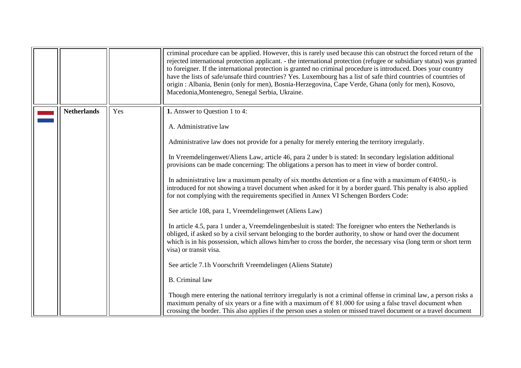<span id="page-16-0"></span>

|                    |     | criminal procedure can be applied. However, this is rarely used because this can obstruct the forced return of the<br>rejected international protection applicant. - the international protection (refugee or subsidiary status) was granted<br>to foreigner. If the international protection is granted no criminal procedure is introduced. Does your country<br>have the lists of safe/unsafe third countries? Yes. Luxembourg has a list of safe third countries of countries of<br>origin : Albania, Benin (only for men), Bosnia-Herzegovina, Cape Verde, Ghana (only for men), Kosovo,<br>Macedonia, Montenegro, Senegal Serbia, Ukraine. |
|--------------------|-----|--------------------------------------------------------------------------------------------------------------------------------------------------------------------------------------------------------------------------------------------------------------------------------------------------------------------------------------------------------------------------------------------------------------------------------------------------------------------------------------------------------------------------------------------------------------------------------------------------------------------------------------------------|
| <b>Netherlands</b> | Yes | 1. Answer to Question 1 to 4:                                                                                                                                                                                                                                                                                                                                                                                                                                                                                                                                                                                                                    |
|                    |     | A. Administrative law                                                                                                                                                                                                                                                                                                                                                                                                                                                                                                                                                                                                                            |
|                    |     | Administrative law does not provide for a penalty for merely entering the territory irregularly.                                                                                                                                                                                                                                                                                                                                                                                                                                                                                                                                                 |
|                    |     | In Vreemdelingenwet/Aliens Law, article 46, para 2 under b is stated: In secondary legislation additional<br>provisions can be made concerning: The obligations a person has to meet in view of border control.                                                                                                                                                                                                                                                                                                                                                                                                                                  |
|                    |     | In administrative law a maximum penalty of six months detention or a fine with a maximum of $\epsilon$ 4050,- is<br>introduced for not showing a travel document when asked for it by a border guard. This penalty is also applied<br>for not complying with the requirements specified in Annex VI Schengen Borders Code:                                                                                                                                                                                                                                                                                                                       |
|                    |     | See article 108, para 1, Vreemdelingenwet (Aliens Law)                                                                                                                                                                                                                                                                                                                                                                                                                                                                                                                                                                                           |
|                    |     | In article 4.5, para 1 under a, Vreemdelingenbesluit is stated: The foreigner who enters the Netherlands is<br>obliged, if asked so by a civil servant belonging to the border authority, to show or hand over the document<br>which is in his possession, which allows him/her to cross the border, the necessary visa (long term or short term<br>visa) or transit visa.                                                                                                                                                                                                                                                                       |
|                    |     | See article 7.1h Voorschrift Vreemdelingen (Aliens Statute)                                                                                                                                                                                                                                                                                                                                                                                                                                                                                                                                                                                      |
|                    |     | <b>B.</b> Criminal law                                                                                                                                                                                                                                                                                                                                                                                                                                                                                                                                                                                                                           |
|                    |     | Though mere entering the national territory irregularly is not a criminal offense in criminal law, a person risks a<br>maximum penalty of six years or a fine with a maximum of $\epsilon$ 81.000 for using a false travel document when<br>crossing the border. This also applies if the person uses a stolen or missed travel document or a travel document                                                                                                                                                                                                                                                                                    |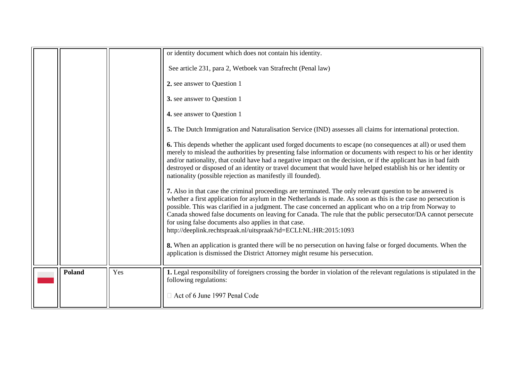<span id="page-17-0"></span>

|               |     | or identity document which does not contain his identity.                                                                                                                                                                                                                                                                                                                                                                                                                                                                                                                              |
|---------------|-----|----------------------------------------------------------------------------------------------------------------------------------------------------------------------------------------------------------------------------------------------------------------------------------------------------------------------------------------------------------------------------------------------------------------------------------------------------------------------------------------------------------------------------------------------------------------------------------------|
|               |     | See article 231, para 2, Wetboek van Strafrecht (Penal law)                                                                                                                                                                                                                                                                                                                                                                                                                                                                                                                            |
|               |     | 2. see answer to Question 1                                                                                                                                                                                                                                                                                                                                                                                                                                                                                                                                                            |
|               |     | 3. see answer to Question 1                                                                                                                                                                                                                                                                                                                                                                                                                                                                                                                                                            |
|               |     | 4. see answer to Question 1                                                                                                                                                                                                                                                                                                                                                                                                                                                                                                                                                            |
|               |     | 5. The Dutch Immigration and Naturalisation Service (IND) assesses all claims for international protection.                                                                                                                                                                                                                                                                                                                                                                                                                                                                            |
|               |     | 6. This depends whether the applicant used forged documents to escape (no consequences at all) or used them<br>merely to mislead the authorities by presenting false information or documents with respect to his or her identity<br>and/or nationality, that could have had a negative impact on the decision, or if the applicant has in bad faith<br>destroyed or disposed of an identity or travel document that would have helped establish his or her identity or<br>nationality (possible rejection as manifestly ill founded).                                                 |
|               |     | 7. Also in that case the criminal proceedings are terminated. The only relevant question to be answered is<br>whether a first application for asylum in the Netherlands is made. As soon as this is the case no persecution is<br>possible. This was clarified in a judgment. The case concerned an applicant who on a trip from Norway to<br>Canada showed false documents on leaving for Canada. The rule that the public persecutor/DA cannot persecute<br>for using false documents also applies in that case.<br>http://deeplink.rechtspraak.nl/uitspraak?id=ECLI:NL:HR:2015:1093 |
|               |     | 8. When an application is granted there will be no persecution on having false or forged documents. When the<br>application is dismissed the District Attorney might resume his persecution.                                                                                                                                                                                                                                                                                                                                                                                           |
| <b>Poland</b> | Yes | 1. Legal responsibility of foreigners crossing the border in violation of the relevant regulations is stipulated in the<br>following regulations:                                                                                                                                                                                                                                                                                                                                                                                                                                      |
|               |     | □ Act of 6 June 1997 Penal Code                                                                                                                                                                                                                                                                                                                                                                                                                                                                                                                                                        |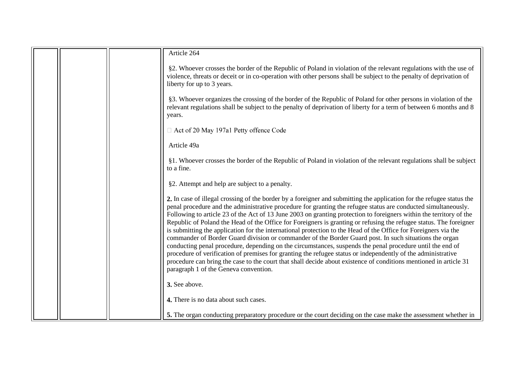| Article 264                                                                                                                                                                                                                                                                                                                                                                                                                                                                                                                                                                                                                                                                                                                                                                                                                                                                                                                                                                                                                                                                                                  |
|--------------------------------------------------------------------------------------------------------------------------------------------------------------------------------------------------------------------------------------------------------------------------------------------------------------------------------------------------------------------------------------------------------------------------------------------------------------------------------------------------------------------------------------------------------------------------------------------------------------------------------------------------------------------------------------------------------------------------------------------------------------------------------------------------------------------------------------------------------------------------------------------------------------------------------------------------------------------------------------------------------------------------------------------------------------------------------------------------------------|
| §2. Whoever crosses the border of the Republic of Poland in violation of the relevant regulations with the use of<br>violence, threats or deceit or in co-operation with other persons shall be subject to the penalty of deprivation of<br>liberty for up to 3 years.                                                                                                                                                                                                                                                                                                                                                                                                                                                                                                                                                                                                                                                                                                                                                                                                                                       |
| §3. Whoever organizes the crossing of the border of the Republic of Poland for other persons in violation of the<br>relevant regulations shall be subject to the penalty of deprivation of liberty for a term of between 6 months and 8<br>years.                                                                                                                                                                                                                                                                                                                                                                                                                                                                                                                                                                                                                                                                                                                                                                                                                                                            |
| □ Act of 20 May 197a1 Petty offence Code                                                                                                                                                                                                                                                                                                                                                                                                                                                                                                                                                                                                                                                                                                                                                                                                                                                                                                                                                                                                                                                                     |
| Article 49a                                                                                                                                                                                                                                                                                                                                                                                                                                                                                                                                                                                                                                                                                                                                                                                                                                                                                                                                                                                                                                                                                                  |
| §1. Whoever crosses the border of the Republic of Poland in violation of the relevant regulations shall be subject<br>to a fine.                                                                                                                                                                                                                                                                                                                                                                                                                                                                                                                                                                                                                                                                                                                                                                                                                                                                                                                                                                             |
| §2. Attempt and help are subject to a penalty.                                                                                                                                                                                                                                                                                                                                                                                                                                                                                                                                                                                                                                                                                                                                                                                                                                                                                                                                                                                                                                                               |
| 2. In case of illegal crossing of the border by a foreigner and submitting the application for the refugee status the<br>penal procedure and the administrative procedure for granting the refugee status are conducted simultaneously.<br>Following to article 23 of the Act of 13 June 2003 on granting protection to foreigners within the territory of the<br>Republic of Poland the Head of the Office for Foreigners is granting or refusing the refugee status. The foreigner<br>is submitting the application for the international protection to the Head of the Office for Foreigners via the<br>commander of Border Guard division or commander of the Border Guard post. In such situations the organ<br>conducting penal procedure, depending on the circumstances, suspends the penal procedure until the end of<br>procedure of verification of premises for granting the refugee status or independently of the administrative<br>procedure can bring the case to the court that shall decide about existence of conditions mentioned in article 31<br>paragraph 1 of the Geneva convention. |
| 3. See above.                                                                                                                                                                                                                                                                                                                                                                                                                                                                                                                                                                                                                                                                                                                                                                                                                                                                                                                                                                                                                                                                                                |
| 4. There is no data about such cases.                                                                                                                                                                                                                                                                                                                                                                                                                                                                                                                                                                                                                                                                                                                                                                                                                                                                                                                                                                                                                                                                        |
| 5. The organ conducting preparatory procedure or the court deciding on the case make the assessment whether in                                                                                                                                                                                                                                                                                                                                                                                                                                                                                                                                                                                                                                                                                                                                                                                                                                                                                                                                                                                               |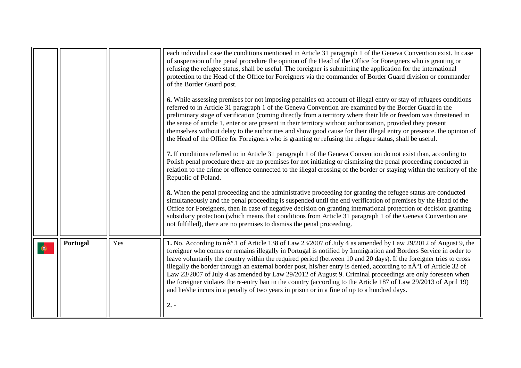<span id="page-19-0"></span>

|          |     | each individual case the conditions mentioned in Article 31 paragraph 1 of the Geneva Convention exist. In case<br>of suspension of the penal procedure the opinion of the Head of the Office for Foreigners who is granting or<br>refusing the refugee status, shall be useful. The foreigner is submitting the application for the international<br>protection to the Head of the Office for Foreigners via the commander of Border Guard division or commander<br>of the Border Guard post.<br>6. While assessing premises for not imposing penalties on account of illegal entry or stay of refugees conditions<br>referred to in Article 31 paragraph 1 of the Geneva Convention are examined by the Border Guard in the<br>preliminary stage of verification (coming directly from a territory where their life or freedom was threatened in<br>the sense of article 1, enter or are present in their territory without authorization, provided they present<br>themselves without delay to the authorities and show good cause for their illegal entry or presence, the opinion of<br>the Head of the Office for Foreigners who is granting or refusing the refugee status, shall be useful.<br>7. If conditions referred to in Article 31 paragraph 1 of the Geneva Convention do not exist than, according to<br>Polish penal procedure there are no premises for not initiating or dismissing the penal proceeding conducted in<br>relation to the crime or offence connected to the illegal crossing of the border or staying within the territory of the<br>Republic of Poland.<br>8. When the penal proceeding and the administrative proceeding for granting the refugee status are conducted<br>simultaneously and the penal proceeding is suspended until the end verification of premises by the Head of the<br>Office for Foreigners, then in case of negative decision on granting international protection or decision granting<br>subsidiary protection (which means that conditions from Article 31 paragraph 1 of the Geneva Convention are |
|----------|-----|--------------------------------------------------------------------------------------------------------------------------------------------------------------------------------------------------------------------------------------------------------------------------------------------------------------------------------------------------------------------------------------------------------------------------------------------------------------------------------------------------------------------------------------------------------------------------------------------------------------------------------------------------------------------------------------------------------------------------------------------------------------------------------------------------------------------------------------------------------------------------------------------------------------------------------------------------------------------------------------------------------------------------------------------------------------------------------------------------------------------------------------------------------------------------------------------------------------------------------------------------------------------------------------------------------------------------------------------------------------------------------------------------------------------------------------------------------------------------------------------------------------------------------------------------------------------------------------------------------------------------------------------------------------------------------------------------------------------------------------------------------------------------------------------------------------------------------------------------------------------------------------------------------------------------------------------------------------------------------------------------------------------------------------------------------------------|
|          |     | not fulfilled), there are no premises to dismiss the penal proceeding.                                                                                                                                                                                                                                                                                                                                                                                                                                                                                                                                                                                                                                                                                                                                                                                                                                                                                                                                                                                                                                                                                                                                                                                                                                                                                                                                                                                                                                                                                                                                                                                                                                                                                                                                                                                                                                                                                                                                                                                             |
| Portugal | Yes | 1. No. According to nÂ <sup>o</sup> .1 of Article 138 of Law 23/2007 of July 4 as amended by Law 29/2012 of August 9, the<br>foreigner who comes or remains illegally in Portugal is notified by Immigration and Borders Service in order to<br>leave voluntarily the country within the required period (between 10 and 20 days). If the foreigner tries to cross<br>illegally the border through an external border post, his/her entry is denied, according to nÂ <sup>o</sup> 1 of Article 32 of<br>Law 23/2007 of July 4 as amended by Law 29/2012 of August 9. Criminal proceedings are only foreseen when<br>the foreigner violates the re-entry ban in the country (according to the Article 187 of Law 29/2013 of April 19)<br>and he/she incurs in a penalty of two years in prison or in a fine of up to a hundred days.<br>$2. -$                                                                                                                                                                                                                                                                                                                                                                                                                                                                                                                                                                                                                                                                                                                                                                                                                                                                                                                                                                                                                                                                                                                                                                                                                      |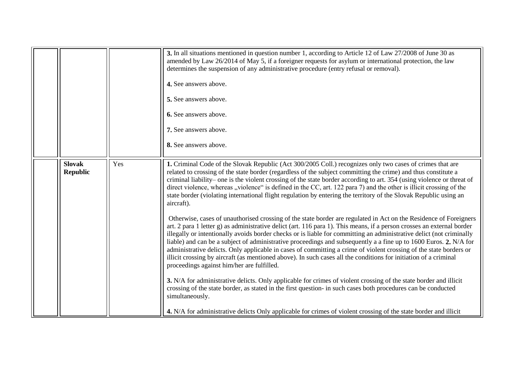<span id="page-20-0"></span>

|               |                 |     | 3. In all situations mentioned in question number 1, according to Article 12 of Law 27/2008 of June 30 as<br>amended by Law 26/2014 of May 5, if a foreigner requests for asylum or international protection, the law<br>determines the suspension of any administrative procedure (entry refusal or removal).<br>4. See answers above.<br>5. See answers above.<br>6. See answers above.<br>7. See answers above.<br>8. See answers above.                                                                                                                                                                                                                                                                                                                                                                                                                                                                                                                                                                                                                                                                                                                                                                                                                                                                                                                                                                                                                                                                                                                                                                                                                                                                                                                                      |
|---------------|-----------------|-----|----------------------------------------------------------------------------------------------------------------------------------------------------------------------------------------------------------------------------------------------------------------------------------------------------------------------------------------------------------------------------------------------------------------------------------------------------------------------------------------------------------------------------------------------------------------------------------------------------------------------------------------------------------------------------------------------------------------------------------------------------------------------------------------------------------------------------------------------------------------------------------------------------------------------------------------------------------------------------------------------------------------------------------------------------------------------------------------------------------------------------------------------------------------------------------------------------------------------------------------------------------------------------------------------------------------------------------------------------------------------------------------------------------------------------------------------------------------------------------------------------------------------------------------------------------------------------------------------------------------------------------------------------------------------------------------------------------------------------------------------------------------------------------|
| <b>Slovak</b> | <b>Republic</b> | Yes | 1. Criminal Code of the Slovak Republic (Act 300/2005 Coll.) recognizes only two cases of crimes that are<br>related to crossing of the state border (regardless of the subject committing the crime) and thus constitute a<br>criminal liability– one is the violent crossing of the state border according to art. 354 (using violence or threat of<br>direct violence, whereas "violence" is defined in the CC, art. 122 para 7) and the other is illicit crossing of the<br>state border (violating international flight regulation by entering the territory of the Slovak Republic using an<br>aircraft).<br>Otherwise, cases of unauthorised crossing of the state border are regulated in Act on the Residence of Foreigners<br>art. 2 para 1 letter g) as administrative delict (art. 116 para 1). This means, if a person crosses an external border<br>illegally or intentionally avoids border checks or is liable for committing an administrative delict (not criminally<br>liable) and can be a subject of administrative proceedings and subsequently a a fine up to 1600 Euros. 2. N/A for<br>administrative delicts. Only applicable in cases of committing a crime of violent crossing of the state borders or<br>illicit crossing by aircraft (as mentioned above). In such cases all the conditions for initiation of a criminal<br>proceedings against him/her are fulfilled.<br>3. N/A for administrative delicts. Only applicable for crimes of violent crossing of the state border and illicit<br>crossing of the state border, as stated in the first question- in such cases both procedures can be conducted<br>simultaneously.<br>4. N/A for administrative delicts Only applicable for crimes of violent crossing of the state border and illicit |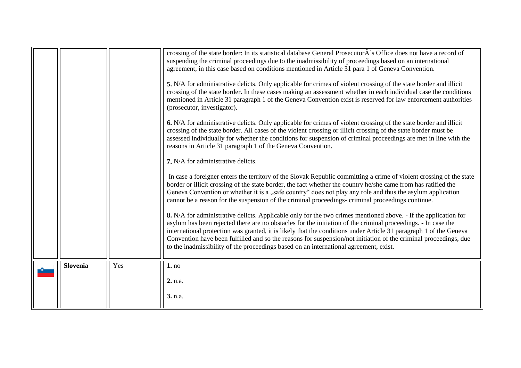<span id="page-21-0"></span>

|                 |     | crossing of the state border: In its statistical database General Prosecutor $\hat{A}$ 's Office does not have a record of                                                                                                            |
|-----------------|-----|---------------------------------------------------------------------------------------------------------------------------------------------------------------------------------------------------------------------------------------|
|                 |     | suspending the criminal proceedings due to the inadmissibility of proceedings based on an international                                                                                                                               |
|                 |     | agreement, in this case based on conditions mentioned in Article 31 para 1 of Geneva Convention.                                                                                                                                      |
|                 |     | 5. N/A for administrative delicts. Only applicable for crimes of violent crossing of the state border and illicit                                                                                                                     |
|                 |     | crossing of the state border. In these cases making an assessment whether in each individual case the conditions                                                                                                                      |
|                 |     | mentioned in Article 31 paragraph 1 of the Geneva Convention exist is reserved for law enforcement authorities<br>(prosecutor, investigator).                                                                                         |
|                 |     | 6. N/A for administrative delicts. Only applicable for crimes of violent crossing of the state border and illicit                                                                                                                     |
|                 |     | crossing of the state border. All cases of the violent crossing or illicit crossing of the state border must be                                                                                                                       |
|                 |     | assessed individually for whether the conditions for suspension of criminal proceedings are met in line with the                                                                                                                      |
|                 |     | reasons in Article 31 paragraph 1 of the Geneva Convention.                                                                                                                                                                           |
|                 |     | 7. N/A for administrative delicts.                                                                                                                                                                                                    |
|                 |     | In case a foreigner enters the territory of the Slovak Republic committing a crime of violent crossing of the state                                                                                                                   |
|                 |     | border or illicit crossing of the state border, the fact whether the country he/she came from has ratified the<br>Geneva Convention or whether it is a "safe country" does not play any role and thus the asylum application          |
|                 |     | cannot be a reason for the suspension of the criminal proceedings-criminal proceedings continue.                                                                                                                                      |
|                 |     | 8. N/A for administrative delicts. Applicable only for the two crimes mentioned above. - If the application for                                                                                                                       |
|                 |     | asylum has been rejected there are no obstacles for the initiation of the criminal proceedings. - In case the                                                                                                                         |
|                 |     | international protection was granted, it is likely that the conditions under Article 31 paragraph 1 of the Geneva<br>Convention have been fulfilled and so the reasons for suspension/not initiation of the criminal proceedings, due |
|                 |     | to the inadmissibility of the proceedings based on an international agreement, exist.                                                                                                                                                 |
|                 |     |                                                                                                                                                                                                                                       |
| <b>Slovenia</b> | Yes | 1. no                                                                                                                                                                                                                                 |
|                 |     | 2. n.a.                                                                                                                                                                                                                               |
|                 |     |                                                                                                                                                                                                                                       |
|                 |     | 3. n.a.                                                                                                                                                                                                                               |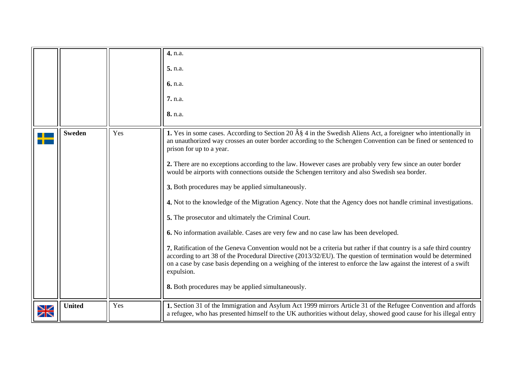<span id="page-22-1"></span><span id="page-22-0"></span>

|                |               |     | 4. n.a.<br>5. n.a.<br>6. n.a.<br><b>7.</b> n.a.<br>8. n.a.                                                                                                                                                                                                                                                                                                                                                                                                                                                                                                                                                                                                                                                                                                                                                                                                                                                                                                                                                                                                                                                                                                                                                                                        |
|----------------|---------------|-----|---------------------------------------------------------------------------------------------------------------------------------------------------------------------------------------------------------------------------------------------------------------------------------------------------------------------------------------------------------------------------------------------------------------------------------------------------------------------------------------------------------------------------------------------------------------------------------------------------------------------------------------------------------------------------------------------------------------------------------------------------------------------------------------------------------------------------------------------------------------------------------------------------------------------------------------------------------------------------------------------------------------------------------------------------------------------------------------------------------------------------------------------------------------------------------------------------------------------------------------------------|
|                | <b>Sweden</b> | Yes | 1. Yes in some cases. According to Section 20 $\hat{A}\hat{\S}$ 4 in the Swedish Aliens Act, a foreigner who intentionally in<br>an unauthorized way crosses an outer border according to the Schengen Convention can be fined or sentenced to<br>prison for up to a year.<br>2. There are no exceptions according to the law. However cases are probably very few since an outer border<br>would be airports with connections outside the Schengen territory and also Swedish sea border.<br>3. Both procedures may be applied simultaneously.<br>4. Not to the knowledge of the Migration Agency. Note that the Agency does not handle criminal investigations.<br>5. The prosecutor and ultimately the Criminal Court.<br>6. No information available. Cases are very few and no case law has been developed.<br>7. Ratification of the Geneva Convention would not be a criteria but rather if that country is a safe third country<br>according to art 38 of the Procedural Directive (2013/32/EU). The question of termination would be determined<br>on a case by case basis depending on a weighing of the interest to enforce the law against the interest of a swift<br>expulsion.<br>8. Both procedures may be applied simultaneously. |
| ↘∠<br>$\times$ | <b>United</b> | Yes | 1. Section 31 of the Immigration and Asylum Act 1999 mirrors Article 31 of the Refugee Convention and affords<br>a refugee, who has presented himself to the UK authorities without delay, showed good cause for his illegal entry                                                                                                                                                                                                                                                                                                                                                                                                                                                                                                                                                                                                                                                                                                                                                                                                                                                                                                                                                                                                                |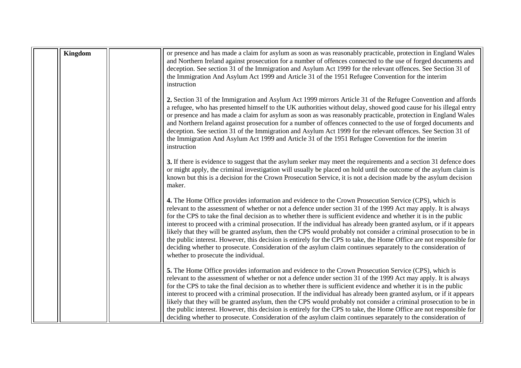| <b>Kingdom</b> | or presence and has made a claim for asylum as soon as was reasonably practicable, protection in England Wales<br>and Northern Ireland against prosecution for a number of offences connected to the use of forged documents and<br>deception. See section 31 of the Immigration and Asylum Act 1999 for the relevant offences. See Section 31 of<br>the Immigration And Asylum Act 1999 and Article 31 of the 1951 Refugee Convention for the interim<br>instruction                                                                                                                                                                                                                                                                                                                                                                                                       |
|----------------|-----------------------------------------------------------------------------------------------------------------------------------------------------------------------------------------------------------------------------------------------------------------------------------------------------------------------------------------------------------------------------------------------------------------------------------------------------------------------------------------------------------------------------------------------------------------------------------------------------------------------------------------------------------------------------------------------------------------------------------------------------------------------------------------------------------------------------------------------------------------------------|
|                | 2. Section 31 of the Immigration and Asylum Act 1999 mirrors Article 31 of the Refugee Convention and affords<br>a refugee, who has presented himself to the UK authorities without delay, showed good cause for his illegal entry<br>or presence and has made a claim for asylum as soon as was reasonably practicable, protection in England Wales<br>and Northern Ireland against prosecution for a number of offences connected to the use of forged documents and<br>deception. See section 31 of the Immigration and Asylum Act 1999 for the relevant offences. See Section 31 of<br>the Immigration And Asylum Act 1999 and Article 31 of the 1951 Refugee Convention for the interim<br>instruction                                                                                                                                                                 |
|                | 3. If there is evidence to suggest that the asylum seeker may meet the requirements and a section 31 defence does<br>or might apply, the criminal investigation will usually be placed on hold until the outcome of the asylum claim is<br>known but this is a decision for the Crown Prosecution Service, it is not a decision made by the asylum decision<br>maker.                                                                                                                                                                                                                                                                                                                                                                                                                                                                                                       |
|                | 4. The Home Office provides information and evidence to the Crown Prosecution Service (CPS), which is<br>relevant to the assessment of whether or not a defence under section 31 of the 1999 Act may apply. It is always<br>for the CPS to take the final decision as to whether there is sufficient evidence and whether it is in the public<br>interest to proceed with a criminal prosecution. If the individual has already been granted asylum, or if it appears<br>likely that they will be granted asylum, then the CPS would probably not consider a criminal prosecution to be in<br>the public interest. However, this decision is entirely for the CPS to take, the Home Office are not responsible for<br>deciding whether to prosecute. Consideration of the asylum claim continues separately to the consideration of<br>whether to prosecute the individual. |
|                | 5. The Home Office provides information and evidence to the Crown Prosecution Service (CPS), which is<br>relevant to the assessment of whether or not a defence under section 31 of the 1999 Act may apply. It is always<br>for the CPS to take the final decision as to whether there is sufficient evidence and whether it is in the public<br>interest to proceed with a criminal prosecution. If the individual has already been granted asylum, or if it appears<br>likely that they will be granted asylum, then the CPS would probably not consider a criminal prosecution to be in<br>the public interest. However, this decision is entirely for the CPS to take, the Home Office are not responsible for<br>deciding whether to prosecute. Consideration of the asylum claim continues separately to the consideration of                                         |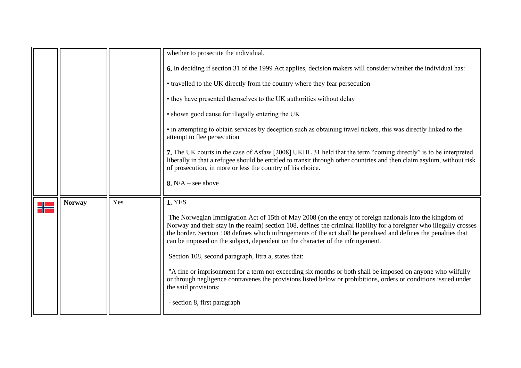<span id="page-24-0"></span>

|               |     | whether to prosecute the individual.                                                                                                                                                                                                                                                                                                                                                                                                    |
|---------------|-----|-----------------------------------------------------------------------------------------------------------------------------------------------------------------------------------------------------------------------------------------------------------------------------------------------------------------------------------------------------------------------------------------------------------------------------------------|
|               |     | 6. In deciding if section 31 of the 1999 Act applies, decision makers will consider whether the individual has:                                                                                                                                                                                                                                                                                                                         |
|               |     | • travelled to the UK directly from the country where they fear persecution                                                                                                                                                                                                                                                                                                                                                             |
|               |     | • they have presented themselves to the UK authorities without delay                                                                                                                                                                                                                                                                                                                                                                    |
|               |     | • shown good cause for illegally entering the UK                                                                                                                                                                                                                                                                                                                                                                                        |
|               |     | • in attempting to obtain services by deception such as obtaining travel tickets, this was directly linked to the<br>attempt to flee persecution                                                                                                                                                                                                                                                                                        |
|               |     | 7. The UK courts in the case of Asfaw [2008] UKHL 31 held that the term "coming directly" is to be interpreted<br>liberally in that a refugee should be entitled to transit through other countries and then claim asylum, without risk<br>of prosecution, in more or less the country of his choice.                                                                                                                                   |
|               |     | 8. $N/A$ – see above                                                                                                                                                                                                                                                                                                                                                                                                                    |
| <b>Norway</b> | Yes | <b>1. YES</b>                                                                                                                                                                                                                                                                                                                                                                                                                           |
|               |     | The Norwegian Immigration Act of 15th of May 2008 (on the entry of foreign nationals into the kingdom of<br>Norway and their stay in the realm) section 108, defines the criminal liability for a foreigner who illegally crosses<br>the border. Section 108 defines which infringements of the act shall be penalised and defines the penalties that<br>can be imposed on the subject, dependent on the character of the infringement. |
|               |     | Section 108, second paragraph, litra a, states that:                                                                                                                                                                                                                                                                                                                                                                                    |
|               |     | "A fine or imprisonment for a term not exceeding six months or both shall be imposed on anyone who wilfully<br>or through negligence contravenes the provisions listed below or prohibitions, orders or conditions issued under<br>the said provisions:                                                                                                                                                                                 |
|               |     | - section 8, first paragraph                                                                                                                                                                                                                                                                                                                                                                                                            |
|               |     |                                                                                                                                                                                                                                                                                                                                                                                                                                         |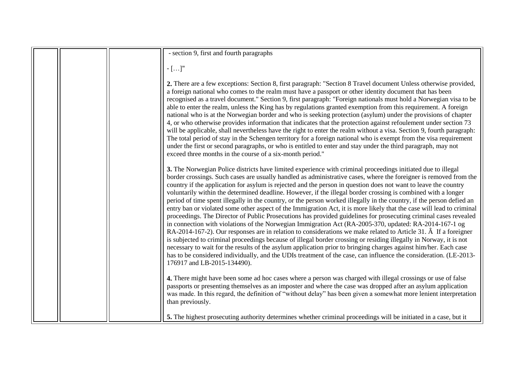|  | - section 9, first and fourth paragraphs                                                                                                                                                                                                                                                                                                                                                                                                                                                                                                                                                                                                                                                                                                                                                                                                                                                                                                                                                                                                                                                                                                                                                                                                                                                                                                                                                                                                                               |
|--|------------------------------------------------------------------------------------------------------------------------------------------------------------------------------------------------------------------------------------------------------------------------------------------------------------------------------------------------------------------------------------------------------------------------------------------------------------------------------------------------------------------------------------------------------------------------------------------------------------------------------------------------------------------------------------------------------------------------------------------------------------------------------------------------------------------------------------------------------------------------------------------------------------------------------------------------------------------------------------------------------------------------------------------------------------------------------------------------------------------------------------------------------------------------------------------------------------------------------------------------------------------------------------------------------------------------------------------------------------------------------------------------------------------------------------------------------------------------|
|  | $\mathord{\text{--}} [\dots]''$                                                                                                                                                                                                                                                                                                                                                                                                                                                                                                                                                                                                                                                                                                                                                                                                                                                                                                                                                                                                                                                                                                                                                                                                                                                                                                                                                                                                                                        |
|  | 2. There are a few exceptions: Section 8, first paragraph: "Section 8 Travel document Unless otherwise provided,<br>a foreign national who comes to the realm must have a passport or other identity document that has been<br>recognised as a travel document." Section 9, first paragraph: "Foreign nationals must hold a Norwegian visa to be<br>able to enter the realm, unless the King has by regulations granted exemption from this requirement. A foreign<br>national who is at the Norwegian border and who is seeking protection (asylum) under the provisions of chapter<br>4, or who otherwise provides information that indicates that the protection against refoulement under section 73<br>will be applicable, shall nevertheless have the right to enter the realm without a visa. Section 9, fourth paragraph:<br>The total period of stay in the Schengen territory for a foreign national who is exempt from the visa requirement<br>under the first or second paragraphs, or who is entitled to enter and stay under the third paragraph, may not<br>exceed three months in the course of a six-month period."                                                                                                                                                                                                                                                                                                                                   |
|  | 3. The Norwegian Police districts have limited experience with criminal proceedings initiated due to illegal<br>border crossings. Such cases are usually handled as administrative cases, where the foreigner is removed from the<br>country if the application for asylum is rejected and the person in question does not want to leave the country<br>voluntarily within the determined deadline. However, if the illegal border crossing is combined with a longer<br>period of time spent illegally in the country, or the person worked illegally in the country, if the person defied an<br>entry ban or violated some other aspect of the Immigration Act, it is more likely that the case will lead to criminal<br>proceedings. The Director of Public Prosecutions has provided guidelines for prosecuting criminal cases revealed<br>in connection with violations of the Norwegian Immigration Act (RA-2005-370, updated: RA-2014-167-1 og<br>RA-2014-167-2). Our responses are in relation to considerations we make related to Article 31. A If a foreigner<br>is subjected to criminal proceedings because of illegal border crossing or residing illegally in Norway, it is not<br>necessary to wait for the results of the asylum application prior to bringing charges against him/her. Each case<br>has to be considered individually, and the UDIs treatment of the case, can influence the consideration. (LE-2013-<br>176917 and LB-2015-134490). |
|  | 4. There might have been some ad hoc cases where a person was charged with illegal crossings or use of false<br>passports or presenting themselves as an imposter and where the case was dropped after an asylum application<br>was made. In this regard, the definition of "without delay" has been given a somewhat more lenient interpretation<br>than previously.                                                                                                                                                                                                                                                                                                                                                                                                                                                                                                                                                                                                                                                                                                                                                                                                                                                                                                                                                                                                                                                                                                  |
|  | 5. The highest prosecuting authority determines whether criminal proceedings will be initiated in a case, but it                                                                                                                                                                                                                                                                                                                                                                                                                                                                                                                                                                                                                                                                                                                                                                                                                                                                                                                                                                                                                                                                                                                                                                                                                                                                                                                                                       |